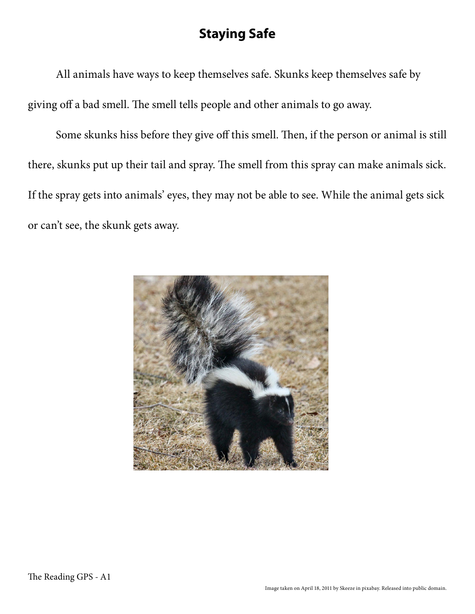## **Staying Safe**

All animals have ways to keep themselves safe. Skunks keep themselves safe by giving off a bad smell. The smell tells people and other animals to go away.

Some skunks hiss before they give off this smell. Then, if the person or animal is still there, skunks put up their tail and spray. The smell from this spray can make animals sick. If the spray gets into animals' eyes, they may not be able to see. While the animal gets sick or can't see, the skunk gets away.